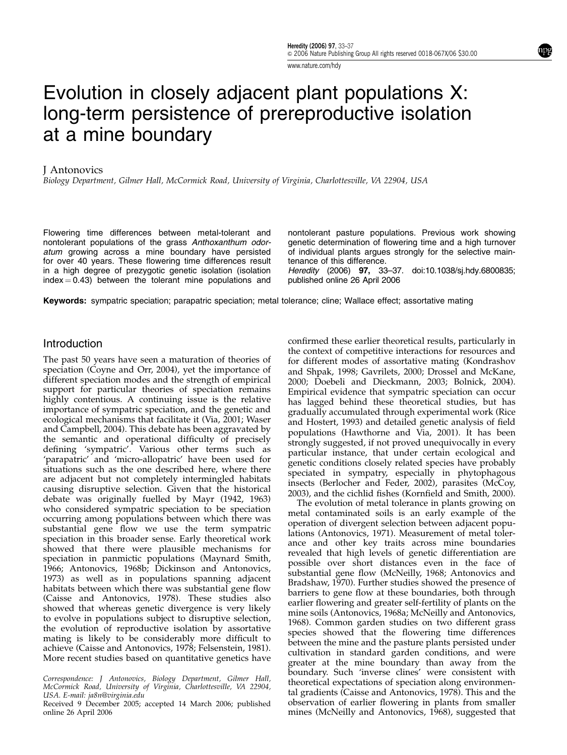www.nature.com/hdy

Evolution in closely adjacent plant populations X: long-term persistence of prereproductive isolation at a mine boundary

## J Antonovics

Biology Department, Gilmer Hall, McCormick Road, University of Virginia, Charlottesville, VA 22904, USA

Flowering time differences between metal-tolerant and nontolerant populations of the grass Anthoxanthum odoratum growing across a mine boundary have persisted for over 40 years. These flowering time differences result in a high degree of prezygotic genetic isolation (isolation  $index = 0.43$ ) between the tolerant mine populations and

nontolerant pasture populations. Previous work showing genetic determination of flowering time and a high turnover of individual plants argues strongly for the selective maintenance of this difference.

Heredity (2006) 97, 33–37. doi:10.1038/sj.hdy.6800835; published online 26 April 2006

Keywords: sympatric speciation; parapatric speciation; metal tolerance; cline; Wallace effect; assortative mating

## Introduction

The past 50 years have seen a maturation of theories of speciation (Coyne and Orr, 2004), yet the importance of different speciation modes and the strength of empirical support for particular theories of speciation remains highly contentious. A continuing issue is the relative importance of sympatric speciation, and the genetic and ecological mechanisms that facilitate it (Via, 2001; Waser and Campbell, 2004). This debate has been aggravated by the semantic and operational difficulty of precisely defining 'sympatric'. Various other terms such as 'parapatric' and 'micro-allopatric' have been used for situations such as the one described here, where there are adjacent but not completely intermingled habitats causing disruptive selection. Given that the historical debate was originally fuelled by Mayr (1942, 1963) who considered sympatric speciation to be speciation occurring among populations between which there was substantial gene flow we use the term sympatric speciation in this broader sense. Early theoretical work showed that there were plausible mechanisms for speciation in panmictic populations (Maynard Smith, 1966; Antonovics, 1968b; Dickinson and Antonovics, 1973) as well as in populations spanning adjacent habitats between which there was substantial gene flow (Caisse and Antonovics, 1978). These studies also showed that whereas genetic divergence is very likely to evolve in populations subject to disruptive selection, the evolution of reproductive isolation by assortative mating is likely to be considerably more difficult to achieve (Caisse and Antonovics, 1978; Felsenstein, 1981). More recent studies based on quantitative genetics have

Correspondence: J Antonovics, Biology Department, Gilmer Hall, McCormick Road, University of Virginia, Charlottesville, VA 22904, USA. E-mail: ja8n@virginia.edu

Received 9 December 2005; accepted 14 March 2006; published boservation of earlier flowering in plants from smaller<br>mines (McNeilly and Antonovics, 1968), suggested that online 26 April 2006

confirmed these earlier theoretical results, particularly in the context of competitive interactions for resources and for different modes of assortative mating (Kondrashov and Shpak, 1998; Gavrilets, 2000; Drossel and McKane, 2000; Doebeli and Dieckmann, 2003; Bolnick, 2004). Empirical evidence that sympatric speciation can occur has lagged behind these theoretical studies, but has gradually accumulated through experimental work (Rice and Hostert, 1993) and detailed genetic analysis of field populations (Hawthorne and Via, 2001). It has been strongly suggested, if not proved unequivocally in every particular instance, that under certain ecological and genetic conditions closely related species have probably speciated in sympatry, especially in phytophagous insects (Berlocher and Feder, 2002), parasites (McCoy, 2003), and the cichlid fishes (Kornfield and Smith, 2000).

The evolution of metal tolerance in plants growing on metal contaminated soils is an early example of the operation of divergent selection between adjacent populations (Antonovics, 1971). Measurement of metal tolerance and other key traits across mine boundaries revealed that high levels of genetic differentiation are possible over short distances even in the face of substantial gene flow (McNeilly, 1968; Antonovics and Bradshaw, 1970). Further studies showed the presence of barriers to gene flow at these boundaries, both through earlier flowering and greater self-fertility of plants on the mine soils (Antonovics, 1968a; McNeilly and Antonovics, 1968). Common garden studies on two different grass species showed that the flowering time differences between the mine and the pasture plants persisted under cultivation in standard garden conditions, and were greater at the mine boundary than away from the boundary. Such 'inverse clines' were consistent with theoretical expectations of speciation along environmental gradients (Caisse and Antonovics, 1978). This and the observation of earlier flowering in plants from smaller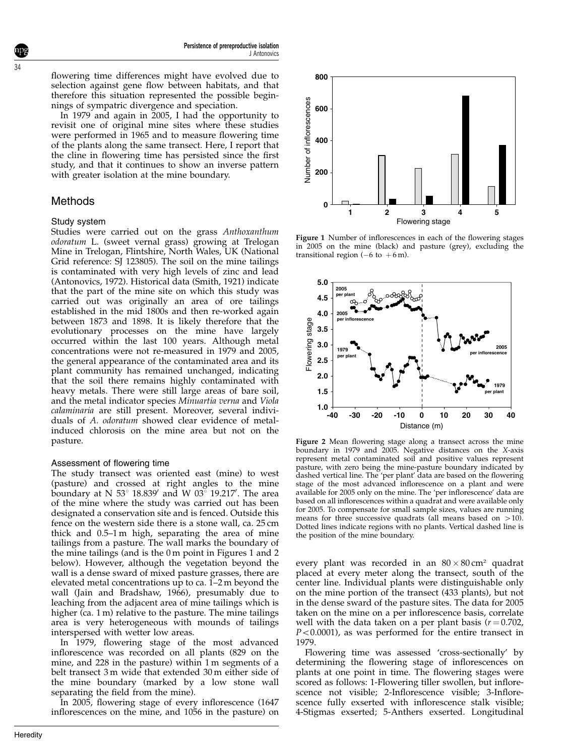flowering time differences might have evolved due to selection against gene flow between habitats, and that therefore this situation represented the possible beginnings of sympatric divergence and speciation.

In 1979 and again in 2005, I had the opportunity to revisit one of original mine sites where these studies were performed in 1965 and to measure flowering time of the plants along the same transect. Here, I report that the cline in flowering time has persisted since the first study, and that it continues to show an inverse pattern with greater isolation at the mine boundary.

# Methods

## Study system

Studies were carried out on the grass Anthoxanthum odoratum L. (sweet vernal grass) growing at Trelogan Mine in Trelogan, Flintshire, North Wales, UK (National Grid reference: SJ 123805). The soil on the mine tailings is contaminated with very high levels of zinc and lead (Antonovics, 1972). Historical data (Smith, 1921) indicate that the part of the mine site on which this study was carried out was originally an area of ore tailings established in the mid 1800s and then re-worked again between 1873 and 1898. It is likely therefore that the evolutionary processes on the mine have largely occurred within the last 100 years. Although metal concentrations were not re-measured in 1979 and 2005, the general appearance of the contaminated area and its plant community has remained unchanged, indicating that the soil there remains highly contaminated with heavy metals. There were still large areas of bare soil, and the metal indicator species Minuartia verna and Viola calaminaria are still present. Moreover, several individuals of A. odoratum showed clear evidence of metalinduced chlorosis on the mine area but not on the pasture.

## Assessment of flowering time

The study transect was oriented east (mine) to west (pasture) and crossed at right angles to the mine boundary at N 53 $^{\circ}$  18.839' and W 03 $^{\circ}$  19.217'. The area of the mine where the study was carried out has been designated a conservation site and is fenced. Outside this fence on the western side there is a stone wall, ca. 25 cm thick and 0.5–1 m high, separating the area of mine tailings from a pasture. The wall marks the boundary of the mine tailings (and is the 0 m point in Figures 1 and 2 below). However, although the vegetation beyond the wall is a dense sward of mixed pasture grasses, there are elevated metal concentrations up to ca. 1–2 m beyond the wall (Jain and Bradshaw, 1966), presumably due to leaching from the adjacent area of mine tailings which is higher (ca. 1 m) relative to the pasture. The mine tailings area is very heterogeneous with mounds of tailings interspersed with wetter low areas.

In 1979, flowering stage of the most advanced inflorescence was recorded on all plants (829 on the mine, and 228 in the pasture) within 1 m segments of a belt transect 3 m wide that extended 30 m either side of the mine boundary (marked by a low stone wall separating the field from the mine).

In 2005, flowering stage of every inflorescence (1647 inflorescences on the mine, and 1056 in the pasture) on



Figure 1 Number of inflorescences in each of the flowering stages in 2005 on the mine (black) and pasture (grey), excluding the transitional region ( $-6$  to  $+6$  m).



Figure 2 Mean flowering stage along a transect across the mine boundary in 1979 and 2005. Negative distances on the X-axis represent metal contaminated soil and positive values represent pasture, with zero being the mine-pasture boundary indicated by dashed vertical line. The 'per plant' data are based on the flowering stage of the most advanced inflorescence on a plant and were available for 2005 only on the mine. The 'per inflorescence' data are based on all inflorescences within a quadrat and were available only for 2005. To compensate for small sample sizes, values are running means for three successive quadrats (all means based on  $>10$ ). Dotted lines indicate regions with no plants. Vertical dashed line is the position of the mine boundary.

every plant was recorded in an  $80 \times 80$  cm<sup>2</sup> quadrat placed at every meter along the transect, south of the center line. Individual plants were distinguishable only on the mine portion of the transect (433 plants), but not in the dense sward of the pasture sites. The data for 2005 taken on the mine on a per inflorescence basis, correlate well with the data taken on a per plant basis  $(r = 0.702)$ ,  $P < 0.0001$ ), as was performed for the entire transect in 1979.

Flowering time was assessed 'cross-sectionally' by determining the flowering stage of inflorescences on plants at one point in time. The flowering stages were scored as follows: 1-Flowering tiller swollen, but inflorescence not visible; 2-Inflorescence visible; 3-Inflorescence fully exserted with inflorescence stalk visible; 4-Stigmas exserted; 5-Anthers exserted. Longitudinal

34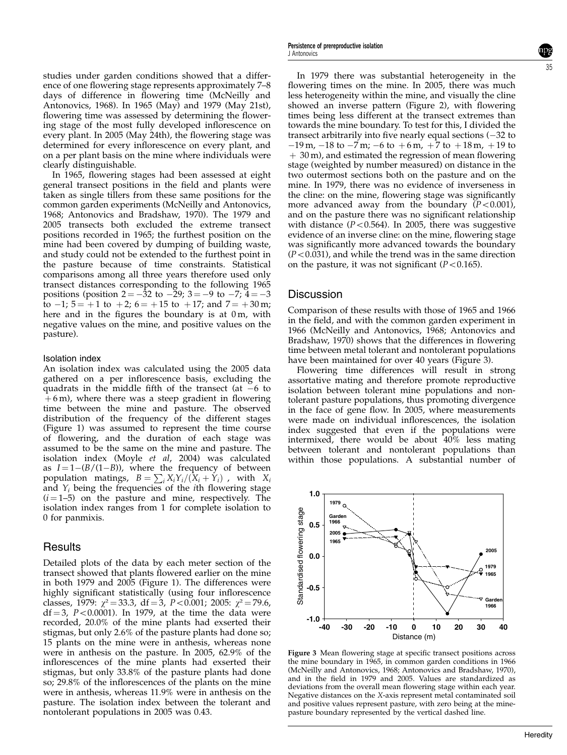studies under garden conditions showed that a difference of one flowering stage represents approximately 7–8 days of difference in flowering time (McNeilly and Antonovics, 1968). In 1965 (May) and 1979 (May 21st), flowering time was assessed by determining the flowering stage of the most fully developed inflorescence on every plant. In 2005 (May 24th), the flowering stage was determined for every inflorescence on every plant, and on a per plant basis on the mine where individuals were clearly distinguishable.

In 1965, flowering stages had been assessed at eight general transect positions in the field and plants were taken as single tillers from these same positions for the common garden experiments (McNeilly and Antonovics, 1968; Antonovics and Bradshaw, 1970). The 1979 and 2005 transects both excluded the extreme transect positions recorded in 1965; the furthest position on the mine had been covered by dumping of building waste, and study could not be extended to the furthest point in the pasture because of time constraints. Statistical comparisons among all three years therefore used only transect distances corresponding to the following 1965 positions (position  $2 = -32$  to  $-29$ ;  $3 = -9$  to  $-7$ ;  $4 = -3$ to  $-1$ ;  $5 = +1$  to  $+2$ ;  $6 = +15$  to  $+17$ ; and  $7 = +30$  m; here and in the figures the boundary is at  $0m$ , with negative values on the mine, and positive values on the pasture).

#### Isolation index

An isolation index was calculated using the 2005 data gathered on a per inflorescence basis, excluding the quadrats in the middle fifth of the transect (at  $-6$  to  $+6$  m), where there was a steep gradient in flowering time between the mine and pasture. The observed distribution of the frequency of the different stages (Figure 1) was assumed to represent the time course of flowering, and the duration of each stage was assumed to be the same on the mine and pasture. The isolation index (Moyle et al, 2004) was calculated as  $I = 1-(B/(1-B))$ , where the frequency of between population matings,  $B = \sum_i X_i Y_i/(X_i + Y_i)$ , with  $X_i$ and  $Y_i$  being the frequencies of the *i*th flowering stage  $(i = 1-5)$  on the pasture and mine, respectively. The isolation index ranges from 1 for complete isolation to 0 for panmixis.

## **Results**

Detailed plots of the data by each meter section of the transect showed that plants flowered earlier on the mine in both 1979 and 2005 (Figure 1). The differences were highly significant statistically (using four inflorescence classes, 1979:  $\chi^2 = 33.3$ , df = 3, P < 0.001; 2005:  $\chi^2 = 79.6$ ,  $df = 3$ , P<0.0001). In 1979, at the time the data were recorded, 20.0% of the mine plants had exserted their stigmas, but only 2.6% of the pasture plants had done so; 15 plants on the mine were in anthesis, whereas none were in anthesis on the pasture. In 2005, 62.9% of the inflorescences of the mine plants had exserted their stigmas, but only 33.8% of the pasture plants had done so; 29.8% of the inflorescences of the plants on the mine were in anthesis, whereas 11.9% were in anthesis on the pasture. The isolation index between the tolerant and nontolerant populations in 2005 was 0.43.

In 1979 there was substantial heterogeneity in the flowering times on the mine. In 2005, there was much less heterogeneity within the mine, and visually the cline showed an inverse pattern (Figure 2), with flowering times being less different at the transect extremes than towards the mine boundary. To test for this, I divided the transect arbitrarily into five nearly equal sections  $(-32 \text{ to }$  $-19$  m,  $-18$  to  $-7$  m;  $-6$  to  $+6$  m,  $+7$  to  $+18$  m,  $+19$  to  $+30$  m), and estimated the regression of mean flowering stage (weighted by number measured) on distance in the two outermost sections both on the pasture and on the mine. In 1979, there was no evidence of inverseness in the cline: on the mine, flowering stage was significantly more advanced away from the boundary  $(P<0.001)$ , and on the pasture there was no significant relationship with distance ( $P < 0.564$ ). In 2005, there was suggestive evidence of an inverse cline: on the mine, flowering stage was significantly more advanced towards the boundary  $(P<0.031)$ , and while the trend was in the same direction on the pasture, it was not significant  $(P<0.165)$ .

### **Discussion**

Comparison of these results with those of 1965 and 1966 in the field, and with the common garden experiment in 1966 (McNeilly and Antonovics, 1968; Antonovics and Bradshaw, 1970) shows that the differences in flowering time between metal tolerant and nontolerant populations have been maintained for over 40 years (Figure 3).

Flowering time differences will result in strong assortative mating and therefore promote reproductive isolation between tolerant mine populations and nontolerant pasture populations, thus promoting divergence in the face of gene flow. In 2005, where measurements were made on individual inflorescences, the isolation index suggested that even if the populations were intermixed, there would be about 40% less mating between tolerant and nontolerant populations than within those populations. A substantial number of



Figure 3 Mean flowering stage at specific transect positions across the mine boundary in 1965, in common garden conditions in 1966 (McNeilly and Antonovics, 1968; Antonovics and Bradshaw, 1970), and in the field in 1979 and 2005. Values are standardized as deviations from the overall mean flowering stage within each year. Negative distances on the X-axis represent metal contaminated soil and positive values represent pasture, with zero being at the minepasture boundary represented by the vertical dashed line.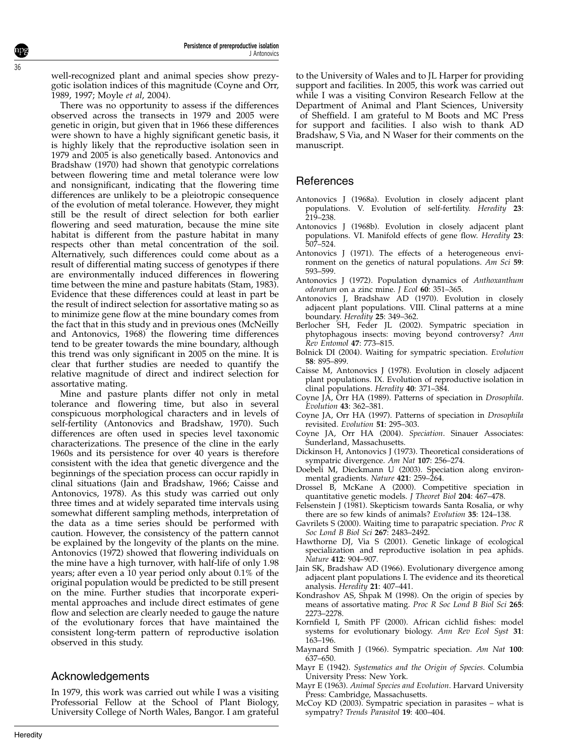well-recognized plant and animal species show prezygotic isolation indices of this magnitude (Coyne and Orr, 1989, 1997; Moyle et al, 2004).

There was no opportunity to assess if the differences observed across the transects in 1979 and 2005 were genetic in origin, but given that in 1966 these differences were shown to have a highly significant genetic basis, it is highly likely that the reproductive isolation seen in 1979 and 2005 is also genetically based. Antonovics and Bradshaw (1970) had shown that genotypic correlations between flowering time and metal tolerance were low and nonsignificant, indicating that the flowering time differences are unlikely to be a pleiotropic consequence of the evolution of metal tolerance. However, they might still be the result of direct selection for both earlier flowering and seed maturation, because the mine site habitat is different from the pasture habitat in many respects other than metal concentration of the soil. Alternatively, such differences could come about as a result of differential mating success of genotypes if there are environmentally induced differences in flowering time between the mine and pasture habitats (Stam, 1983). Evidence that these differences could at least in part be the result of indirect selection for assortative mating so as to minimize gene flow at the mine boundary comes from the fact that in this study and in previous ones (McNeilly and Antonovics, 1968) the flowering time differences tend to be greater towards the mine boundary, although this trend was only significant in 2005 on the mine. It is clear that further studies are needed to quantify the relative magnitude of direct and indirect selection for assortative mating.

Mine and pasture plants differ not only in metal tolerance and flowering time, but also in several conspicuous morphological characters and in levels of self-fertility (Antonovics and Bradshaw, 1970). Such differences are often used in species level taxonomic characterizations. The presence of the cline in the early 1960s and its persistence for over 40 years is therefore consistent with the idea that genetic divergence and the beginnings of the speciation process can occur rapidly in clinal situations (Jain and Bradshaw, 1966; Caisse and Antonovics, 1978). As this study was carried out only three times and at widely separated time intervals using somewhat different sampling methods, interpretation of the data as a time series should be performed with caution. However, the consistency of the pattern cannot be explained by the longevity of the plants on the mine. Antonovics (1972) showed that flowering individuals on the mine have a high turnover, with half-life of only 1.98 years; after even a 10 year period only about 0.1% of the original population would be predicted to be still present on the mine. Further studies that incorporate experimental approaches and include direct estimates of gene flow and selection are clearly needed to gauge the nature of the evolutionary forces that have maintained the consistent long-term pattern of reproductive isolation observed in this study.

# Acknowledgements

In 1979, this work was carried out while I was a visiting Professorial Fellow at the School of Plant Biology, University College of North Wales, Bangor. I am grateful

to the University of Wales and to JL Harper for providing support and facilities. In 2005, this work was carried out while I was a visiting Conviron Research Fellow at the Department of Animal and Plant Sciences, University of Sheffield. I am grateful to M Boots and MC Press for support and facilities. I also wish to thank AD Bradshaw, S Via, and N Waser for their comments on the manuscript.

# References

- Antonovics J (1968a). Evolution in closely adjacent plant populations. V. Evolution of self-fertility. Heredity 23: 219–238.
- Antonovics J (1968b). Evolution in closely adjacent plant populations. VI. Manifold effects of gene flow. Heredity 23: 507–524.
- Antonovics J (1971). The effects of a heterogeneous environment on the genetics of natural populations. Am Sci 59: 593–599.
- Antonovics J (1972). Population dynamics of Anthoxanthum odoratum on a zinc mine. J Ecol 60: 351-365.
- Antonovics J, Bradshaw AD (1970). Evolution in closely adjacent plant populations. VIII. Clinal patterns at a mine boundary. Heredity 25: 349-362.
- Berlocher SH, Feder JL (2002). Sympatric speciation in phytophagous insects: moving beyond controversy? Ann Rev Entomol 47: 773–815.
- Bolnick DI (2004). Waiting for sympatric speciation. Evolution 58: 895–899.
- Caisse M, Antonovics J (1978). Evolution in closely adjacent plant populations. IX. Evolution of reproductive isolation in clinal populations. Heredity 40: 371-384.
- Coyne JA, Orr HA (1989). Patterns of speciation in Drosophila. Evolution 43: 362–381.
- Coyne JA, Orr HA (1997). Patterns of speciation in Drosophila revisited. Evolution 51: 295–303.
- Coyne JA, Orr HA (2004). Speciation. Sinauer Associates: Sunderland, Massachusetts.
- Dickinson H, Antonovics J (1973). Theoretical considerations of sympatric divergence. Am Nat 107: 256–274.
- Doebeli M, Dieckmann U (2003). Speciation along environmental gradients. Nature 421: 259-264.
- Drossel B, McKane A (2000). Competitive speciation in quantitative genetic models. *J Theoret Biol* 204: 467–478.
- Felsenstein J (1981). Skepticism towards Santa Rosalia, or why there are so few kinds of animals? Evolution 35: 124–138.
- Gavrilets S (2000). Waiting time to parapatric speciation. Proc R Soc Lond B Biol Sci 267: 2483–2492.
- Hawthorne DJ, Via S (2001). Genetic linkage of ecological specialization and reproductive isolation in pea aphids. Nature 412: 904–907.
- Jain SK, Bradshaw AD (1966). Evolutionary divergence among adjacent plant populations I. The evidence and its theoretical analysis. Heredity 21: 407–441.
- Kondrashov AS, Shpak M (1998). On the origin of species by means of assortative mating. Proc R Soc Lond B Biol Sci 265: 2273–2278.
- Kornfield I, Smith PF (2000). African cichlid fishes: model systems for evolutionary biology. Ann Rev Ecol Syst 31: 163–196.
- Maynard Smith J (1966). Sympatric speciation. Am Nat 100: 637–650.
- Mayr E (1942). Systematics and the Origin of Species. Columbia University Press: New York.
- Mayr E (1963). Animal Species and Evolution. Harvard University Press: Cambridge, Massachusetts.
- McCoy KD (2003). Sympatric speciation in parasites what is sympatry? Trends Parasitol 19: 400–404.